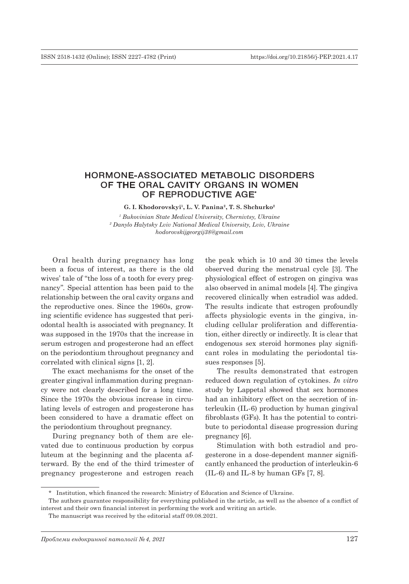## HORMONE-ASSOCIATED METABOLIC DISORDERS OF THE ORAL CAVITY ORGANS IN WOMEN OF REPRODUCTIVE AGE\*

**G. I. Khodorovskyi1, L. V. Panina2, T. S. Shchurko2**

*1 Bukovinian State Medical University, Chernivtsy, Ukraine 2 Danylo Halytsky Lviv National Medical University, Lviv, Ukraine hodorovskijgeorgij38@gmail.com*

Oral health during pregnancy has long been a focus of interest, as there is the old wives' tale of "the loss of a tooth for every pregnancy". Special attention has been paid to the relationship between the oral cavity organs and the reproductive ones. Since the 1960s, growing scientific evidence has suggested that periodontal health is associated with pregnancy. It was supposed in the 1970s that the increase in serum estrogen and progesterone had an effect on the periodontium throughout pregnancy and correlated with clinical signs [1, 2].

The exact mechanisms for the onset of the greater gingival inflammation during pregnancy were not clearly described for a long time. Since the 1970s the obvious increase in circulating levels of estrogen and progesterone has been considered to have a dramatic effect on the periodontium throughout pregnancy.

During pregnancy both of them are elevated due to continuous production by corpus luteum at the beginning and the placenta afterward. By the end of the third trimester of pregnancy progesterone and estrogen reach

the peak which is 10 and 30 times the levels observed during the menstrual cycle [3]. The physiological effect of estrogen on gingiva was also observed in animal models [4]. The gingiva recovered clinically when estradiol was added. The results indicate that estrogen profoundly affects physiologic events in the gingiva, including cellular proliferation and differentiation, either directly or indirectly. It is clear that endogenous sex steroid hormones play significant roles in modulating the periodontal tissues responses [5].

The results demonstrated that estrogen reduced down regulation of cytokines. *In vitro* study by Lappetal showed that sex hormones had an inhibitory effect on the secretion of interleukin (IL-6) production by human gingival fibroblasts (GFs). It has the potential to contribute to periodontal disease progression during pregnancy [6].

Stimulation with both estradiol and progesterone in a dose-dependent manner significantly enhanced the production of interleukin-6  $(IL-6)$  and IL-8 by human GFs [7, 8].

<sup>\*</sup> Institution, which financed the research: Ministry of Education and Science of Ukraine.

The authors guarantee responsibility for everything published in the article, as well as the absence of a conflict of interest and their own financial interest in performing the work and writing an article.

The manuscript was received by the editorial staff 09.08.2021.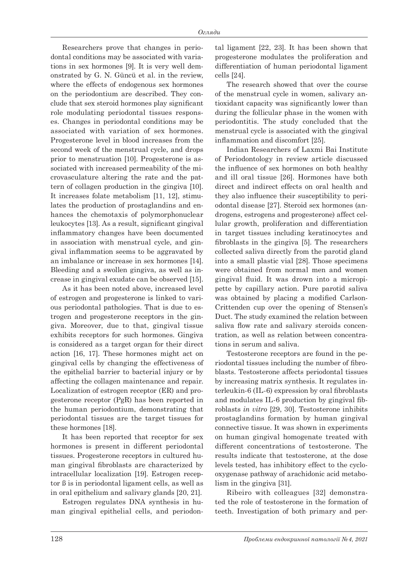Researchers prove that changes in periodontal conditions may be associated with variations in sex hormones [9]. It is very well demonstrated by G. N. Güncü et al. in the review, where the effects of endogenous sex hormones on the periodontium are described. They conclude that sex steroid hormones play significant role modulating periodontal tissues responses. Changes in periodontal conditions may be associated with variation of sex hormones. Progesterone level in blood increases from the second week of the menstrual cycle, and drops prior to menstruation [10]. Progesterone is associated with increased permeability of the microvasculature altering the rate and the pattern of collagen production in the gingiva [10]. It increases folate metabolism [11, 12], stimulates the production of prostaglandins and enhances the chemotaxis of polymorphonuclear leukocytes [13]. As a result, significant gingival inflammatory changes have been documented in association with menstrual cycle, and gingival inflammation seems to be aggravated by an imbalance or increase in sex hormones [14]. Bleeding and a swollen gingiva, as well as increase in gingival exudate can be observed [15].

As it has been noted above, increased level of estrogen and progesterone is linked to various periodontal pathologies. That is due to estrogen and progesterone receptors in the gingiva. Moreover, due to that, gingival tissue exhibits receptors for such hormones. Gingiva is considered as a target organ for their direct action [16, 17]. These hormones might act on gingival cells by changing the effectiveness of the epithelial barrier to bacterial injury or by affecting the collagen maintenance and repair. Localization of estrogen receptor (ER) and progesterone receptor (PgR) has been reported in the human periodontium, demonstrating that periodontal tissues are the target tissues for these hormones [18].

It has been reported that receptor for sex hormones is present in different periodontal tissues. Progesterone receptors in cultured human gingival fibroblasts are characterized by intracellular localization [19]. Estrogen receptor ß is in periodontal ligament cells, as well as in oral epithelium and salivary glands [20, 21].

Estrogen regulates DNA synthesis in human gingival epithelial cells, and periodontal ligament [22, 23]. It has been shown that progesterone modulates the proliferation and differentiation of human periodontal ligament cells [24].

The research showed that over the course of the menstrual cycle in women, salivary antioxidant capacity was significantly lower than during the follicular phase in the women with periodontitis. The study concluded that the menstrual cycle is associated with the gingival inflammation and discomfort [25].

Indian Researchers of Laxmi Bai Institute of Periodontology in review article discussed the influence of sex hormones on both healthy and ill oral tissue [26]. Hormones have both direct and indirect effects on oral health and they also influence their susceptibility to periodontal disease [27]. Steroid sex hormones (androgens, estrogens and progesterone) affect cellular growth, proliferation and differentiation in target tissues including keratinocytes and fibroblasts in the gingiva [5]. The researchers collected saliva directly from the parotid gland into a small plastic vial [28]. Those specimens were obtained from normal men and women gingival fluid. It was drown into a micropipette by capillary action. Pure parotid saliva was obtained by placing a modified Carlson-Crittenden cup over the opening of Stensen's Duct. The study examined the relation between saliva flow rate and salivary steroids concentration, as well as relation between concentrations in serum and saliva.

Testosterone receptors are found in the periodontal tissues including the number of fibroblasts. Testosterone affects periodontal tissues by increasing matrix synthesis. It regulates interleukin-6 (IL-6) expression by oral fibroblasts and modulates IL-6 production by gingival fibroblasts *in vitro* [29, 30]. Testosterone inhibits prostaglandins formation by human gingival connective tissue. It was shown in experiments on human gingival homogenate treated with different concentrations of testosterone. The results indicate that testosterone, at the dose levels tested, has inhibitory effect to the cyclooxygenase pathway of arachidonic acid metabolism in the gingiva [31].

Ribeiro with colleagues [32] demonstrated the role of testosterone in the formation of teeth. Investigation of both primary and per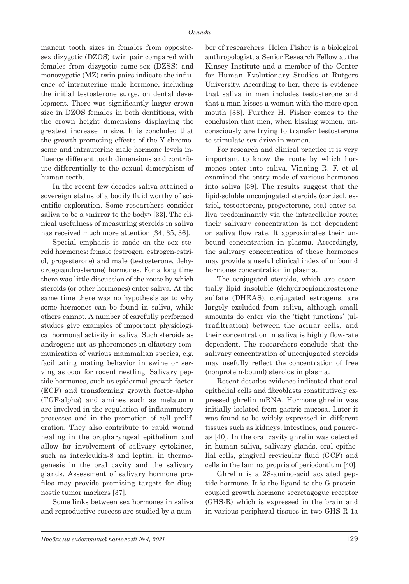manent tooth sizes in females from oppositesex dizygotic (DZOS) twin pair compared with females from dizygotic same-sex (DZSS) and monozygotic (MZ) twin pairs indicate the influence of intrauterine male hormone, including the initial testosterone surge, on dental development. There was significantly larger crown size in DZOS females in both dentitions, with the crown height dimensions displaying the greatest increase in size. It is concluded that the growth-promoting effects of the Y chromosome and intrauterine male hormone levels influence different tooth dimensions and contribute differentially to the sexual dimorphism of human teeth.

In the recent few decades saliva attained a sovereign status of a bodily fluid worthy of scientific exploration. Some researchers consider saliva to be a «mirror to the body» [33]. The clinical usefulness of measuring steroids in saliva has received much more attention [34, 35, 36].

Special emphasis is made on the sex steroid hormones: female (estrogen, estrogen-estriol, progesterone) and male (testosterone, dehydroepiandrosterone) hormones. For a long time there was little discussion of the route by which steroids (or other hormones) enter saliva. At the same time there was no hypothesis as to why some hormones can be found in saliva, while others cannot. A number of carefully performed studies give examples of important physiological hormonal activity in saliva. Such steroids as androgens act as pheromones in olfactory communication of various mammalian species, e.g. facilitating mating behavior in swine or serving as odor for rodent nestling. Salivary peptide hormones, such as epidermal growth factor (EGF) and transforming growth factor-alpha (TGF-alpha) and amines such as melatonin are involved in the regulation of inflammatory processes and in the promotion of cell proliferation. They also contribute to rapid wound healing in the oropharyngeal epithelium and allow for involvement of salivary cytokines, such as interleukin-8 and leptin, in thermogenesis in the oral cavity and the salivary glands. Assessment of salivary hormone profiles may provide promising targets for diagnostic tumor markers [37].

Some links between sex hormones in saliva and reproductive success are studied by a number of researchers. Helen Fisher is a biological anthropologist, a Senior Research Fellow at the Kinsey Institute and a member of the Center for Human Evolutionary Studies at Rutgers University. According to her, there is evidence that saliva in men includes testosterone and that a man kisses a woman with the more open mouth [38]. Further H. Fisher comes to the conclusion that men, when kissing women, unconsciously are trying to transfer testosterone to stimulate sex drive in women.

For research and clinical practice it is very important to know the route by which hormones enter into saliva. Vinning R. F. et al examined the entry mode of various hormones into saliva [39]. The results suggest that the lipid-soluble unconjugated steroids (cortisol, estriol, testosterone, progesterone, etc.) enter saliva predominantly via the intracellular route; their salivary concentration is not dependent on saliva flow rate. It approximates their unbound concentration in plasma. Accordingly, the salivary concentration of these hormones may provide a useful clinical index of unbound hormones concentration in plasma.

The conjugated steroids, which are essentially lipid insoluble (dehydroepiandrosterone sulfate (DHEAS), conjugated estrogens, are largely excluded from saliva, although small amounts do enter via the 'tight junctions' (ultrafiltration) between the acinar cells, and their concentration in saliva is highly flow-rate dependent. The researchers conclude that the salivary concentration of unconjugated steroids may usefully reflect the concentration of free (nonprotein-bound) steroids in plasma.

Recent decades evidence indicated that oral epithelial cells and fibroblasts constitutively expressed ghrelin mRNA. Hormone ghrelin was initially isolated from gastric mucosa. Later it was found to be widely expressed in different tissues such as kidneys, intestines, and pancreas [40]. In the oral cavity ghrelin was detected in human saliva, salivary glands, oral epithelial cells, gingival crevicular fluid (GCF) and cells in the lamina propria of periodontium [40].

Ghrelin is a 28-amino-acid acylated peptide hormone. It is the ligand to the G-proteincoupled growth hormone secretagogue receptor (GHS-R) which is expressed in the brain and in various peripheral tissues in two GHS-R 1a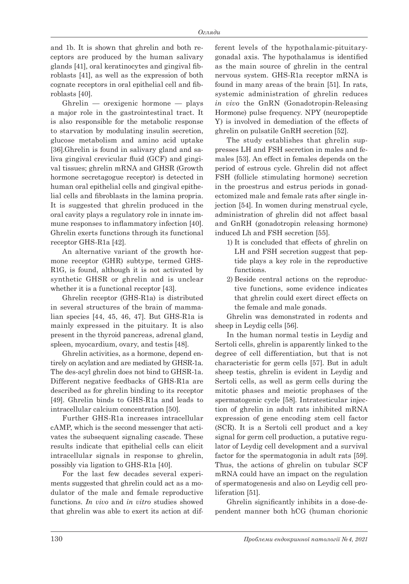and 1b. It is shown that ghrelin and both receptors are produced by the human salivary glands [41], oral keratinocytes and gingival fibroblasts [41], as well as the expression of both cognate receptors in oral epithelial cell and fibroblasts [40].

Ghrelin — orexigenic hormone — plays a major role in the gastrointestinal tract. It is also responsible for the metabolic response to starvation by modulating insulin secretion, glucose metabolism and amino acid uptake [36].Ghrelin is found in salivary gland and saliva gingival crevicular fluid (GCF) and gingival tissues; ghrelin mRNA and GHSR (Growth hormone secretagogue receptor) is detected in human oral epithelial cells and gingival epithelial cells and fibroblasts in the lamina propria. It is suggested that ghrelin produced in the oral cavity plays a regulatory role in innate immune responses to inflammatory infection [40]. Ghrelin exerts functions through its functional receptor GHS-R1a [42].

An alternative variant of the growth hormone receptor (GHR) subtype, termed GHS-R1G, is found, although it is not activated by synthetic GHSR or ghrelin and is unclear whether it is a functional receptor [43].

Ghrelin receptor (GHS-R1a) is distributed in several structures of the brain of mammalian species [44, 45, 46, 47]. But GHS-R1a is mainly expressed in the pituitary. It is also present in the thyroid pancreas, adrenal gland, spleen, myocardium, ovary, and testis [48].

Ghrelin activities, as a hormone, depend entirely on acylation and are mediated by GHSR-1a. The des-acyl ghrelin does not bind to GHSR-1a. Different negative feedbacks of GHS-R1a are described as for ghrelin binding to its receptor [49]. Ghrelin binds to GHS-R1a and leads to intracellular calcium concentration [50].

Further GHS-R1a increases intracellular cAMP, which is the second messenger that activates the subsequent signaling cascade. These results indicate that epithelial cells can elicit intracellular signals in response to ghrelin, possibly via ligation to GHS-R1a [40].

For the last few decades several experiments suggested that ghrelin could act as a modulator of the male and female reproductive functions. *In vivo* and *in vitro* studies showed that ghrelin was able to exert its action at different levels of the hypothalamic-pituitarygonadal axis. The hypothalamus is identified as the main source of ghrelin in the central nervous system. GHS-R1a receptor mRNA is found in many areas of the brain [51]. In rats, systemic administration of ghrelin reduces *in vivo* the GnRN (Gonadotropin-Releasing Hormone) pulse frequency. NPY (neuropeptide Y) is involved in demediation of the effects of ghrelin on pulsatile GnRH secretion [52].

The study establishes that ghrelin suppresses LH and FSH secretion in males and females [53]. An effect in females depends on the period of estrous cycle. Ghrelin did not affect FSH (follicle stimulating hormone) secretion in the proestrus and estrus periods in gonadectomized male and female rats after single injection [54]. In women during menstrual cycle, administration of ghrelin did not affect basal and GnRH (gonadotropin releasing hormone) induced Lh and FSH secretion [55].

- 1) It is concluded that effects of ghrelin on LH and FSH secretion suggest that peptide plays a key role in the reproductive functions.
- 2) Beside central actions on the reproductive functions, some evidence indicates that ghrelin could exert direct effects on the female and male gonads.

Ghrelin was demonstrated in rodents and sheep in Leydig cells [56].

In the human normal testis in Leydig and Sertoli cells, ghrelin is apparently linked to the degree of cell differentiation, but that is not characteristic for germ cells [57]. But in adult sheep testis, ghrelin is evident in Leydig and Sertoli cells, as well as germ cells during the mitotic phases and meiotic prophases of the spermatogenic cycle [58]. Intratesticular injection of ghrelin in adult rats inhibited mRNA expression of gene encoding stem cell factor (SCR). It is a Sertoli cell product and a key signal for germ cell production, a putative regulator of Leydig cell development and a survival factor for the spermatogonia in adult rats [59]. Thus, the actions of ghrelin on tubular SCF mRNA could have an impact on the regulation of spermatogenesis and also on Leydig cell proliferation [51].

Ghrelin significantly inhibits in a dose-dependent manner both hCG (human chorionic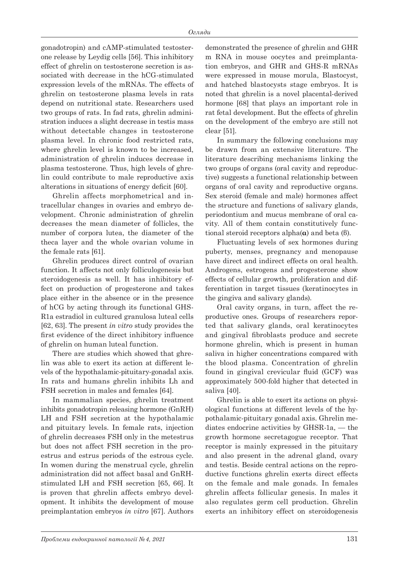gonadotropin) and cAMP-stimulated testosterone release by Leydig cells [56]. This inhibitory effect of ghrelin on testosterone secretion is associated with decrease in the hCG-stimulated expression levels of the mRNAs. The effects of ghrelin on testosterone plasma levels in rats depend on nutritional state. Researchers used two groups of rats. In fad rats, ghrelin administration induces a slight decrease in testis mass without detectable changes in testosterone plasma level. In chronic food restricted rats, where ghrelin level is known to be increased, administration of ghrelin induces decrease in plasma testosterone. Thus, high levels of ghrelin could contribute to male reproductive axis alterations in situations of energy deficit [60].

Ghrelin affects morphometrical and intracellular changes in ovaries and embryo development. Chronic administration of ghrelin decreases the mean diameter of follicles, the number of corpora lutea, the diameter of the theca layer and the whole ovarian volume in the female rats [61].

Ghrelin produces direct control of ovarian function. It affects not only folliculogenesis but steroidogenesis as well. It has inhibitory effect on production of progesterone and takes place either in the absence or in the presence of hCG by acting through its functional GHS-R1a estradiol in cultured granulosa luteal cells [62, 63]. The present *in vitro* study provides the first evidence of the direct inhibitory influence of ghrelin on human luteal function.

There are studies which showed that ghrelin was able to exert its action at different levels of the hypothalamic-pituitary-gonadal axis. In rats and humans ghrelin inhibits Lh and FSH secretion in males and females [64].

In mammalian species, ghrelin treatment inhibits gonadotropin releasing hormone (GnRH) LH and FSH secretion at the hypothalamic and pituitary levels. In female rats, injection of ghrelin decreases FSH only in the metestrus but does not affect FSH secretion in the proestrus and estrus periods of the estrous cycle. In women during the menstrual cycle, ghrelin administration did not affect basal and GnRHstimulated LH and FSH secretion [65, 66]. It is proven that ghrelin affects embryo development. It inhibits the development of mouse preimplantation embryos *in vitro* [67]. Authors

demonstrated the presence of ghrelin and GHR m RNA in mouse oocytes and preimplantation embryos, and GHR and GHS-R mRNAs were expressed in mouse morula, Blastocyst, and hatched blastocysts stage embryos. It is noted that ghrelin is a novel placental-derived hormone [68] that plays an important role in rat fetal development. But the effects of ghrelin on the development of the embryo are still not clear [51].

In summary the following conclusions may be drawn from an extensive literature. The literature describing mechanisms linking the two groups of organs (oral cavity and reproductive) suggests a functional relationship between organs of oral cavity and reproductive organs. Sex steroid (female and male) hormones affect the structure and functions of salivary glands, periodontium and mucus membrane of oral cavity. All of them contain constitutively functional steroid receptors alpha(**α**) and beta (β).

Fluctuating levels of sex hormones during puberty, menses, pregnancy and menopause have direct and indirect effects on oral health. Androgens, estrogens and progesterone show effects of cellular growth, proliferation and differentiation in target tissues (keratinocytes in the gingiva and salivary glands).

Oral cavity organs, in turn, affect the reproductive ones. Groups of researchers reported that salivary glands, oral keratinocytes and gingival fibroblasts produce and secrete hormone ghrelin, which is present in human saliva in higher concentrations compared with the blood plasma. Concentration of ghrelin found in gingival crevicular fluid (GCF) was approximately 500-fold higher that detected in saliva [40].

Ghrelin is able to exert its actions on physiological functions at different levels of the hypothalamic-pituitary gonadal axis. Ghrelin mediates endocrine activities by GHSR-1a, — the growth hormone secretagogue receptor. That receptor is mainly expressed in the pituitary and also present in the adrenal gland, ovary and testis. Beside central actions on the reproductive functions ghrelin exerts direct effects on the female and male gonads. In females ghrelin affects follicular genesis. In males it also regulates germ cell production. Ghrelin exerts an inhibitory effect on steroidogenesis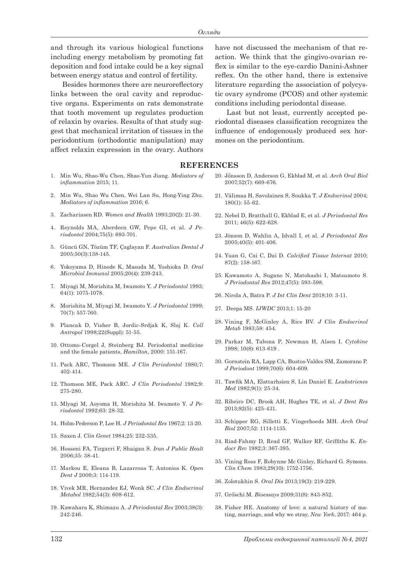and through its various biological functions including energy metabolism by promoting fat deposition and food intake could be a key signal between energy status and control of fertility.

Besides hormones there are neuroreflectory links between the oral cavity and reproductive organs. Experiments on rats demonstrate that tooth movement up regulates production of relaxin by ovaries. Results of that study suggest that mechanical irritation of tissues in the periodontium (orthodontic manipulation) may affect relaxin expression in the ovary. Authors

- 1. Min Wu, Shao-Wu Chen, Shao-Yun Jiang. *Mediators of inflammation* 2015; 11.
- 2. Min Wu, Shao Wu Chen, Wei Lan Su, Hong-Ying Zhu. *Mediators of inflammation* 2016; 6.
- 3. Zachariasen RD. *Women and Health* 1993;20(2): 21-30.
- 4. Reynolds MA, Aberdeen GW, Pepe GI, et al. *J Periodontol* 2004;75(5): 693-701.
- 5. Güncü GN, Tözüm TF, Çaglayan F. *Australian Dental J* 2005;50(3):138-145.
- 6. Yokoyama D, Hinode K, Masuda M, Yoshioka D. *Oral Microbiol Immunol* 2005;20(4): 239-243.
- 7. Miyagi M, Morishita M, Iwamoto Y. *J Periodontol* 1993; 64(1): 1075-1078.
- 8. Morishita M, Miyagi M, Iwamoto Y. *J Periodontol* 1999; 70(7): 557-760.
- 9. Plancak D, Visher B, Jordic-Srdjak K, Slaj K. *Coll Antropol* 1998;22(Suppl): 51-55.
- 10. Ottomo-Corgel J, Steinberg BJ. Periodontal medicine and the female patients, *Hamilton*, 2000: 151-167.
- 11. Pack ARC, Thomson ME. *J Clin Periodontol* 1980;7: 402-414.
- 12. Thomson ME, Pack ARC. *J Clin Periodontol* 1982;9: 275-280.
- 13. Mlyagi M, Aoyoma H, Morishita M. Iwamoto Y*. J Periodontol* 1992;63: 28-32.
- 14. Holm-Pederson P, Loe H. *J Periodontal Res* 1967;2: 13-20.
- 15. Saxen J. *Clin Genet* 1984;25: 232-335.
- 16. Hosseni FA, Tirgarri F, Shaigan S. *Iran J Public Healt* 2006;35: 38-41.
- 17. Markou E, Eleana B, Lazarrous T, Antonios K. *Open Dent J* 2009;3: 114-119.
- 18. Vivek MR, Hernandez EJ, Wenk SC. *J Clin Endocrinol Metabol* 1982;54(3): 608-612.
- 19. Kawahara K, Shimazu A. *J Periodontal Res* 2003;38(3): 242-246.

have not discussed the mechanism of that reaction. We think that the gingivo-ovarian reflex is similar to the eye-cardio Danini-Ashner reflex. On the other hand, there is extensive literature regarding the association of polycystic ovary syndrome (PCOS) and other systemic conditions including periodontal disease.

Last but not least, currently accepted periodontal diseases classification recognizes the influence of endogenously produced sex hormones on the periodontium.

## **REFERENCES**

- 20. Jőnsson D, Anderson G, Ekblad M, et al. *Arch Oral Biol* 2007;52(7): 669-676.
- 21. Välimaa H, Savolainen S, Soukka T. *J Endocrinol* 2004; 180(1): 55-62.
- 22. Nebel D, Bratthall G, Ekblad E, et al. *J Periodontal Res* 2011; 46(5): 622-628.
- 23. Jönson D, Wahlin A, Idvall I, et al. *J Periodontal Res* 2005;40(5): 401-406.
- 24. Yuan G, Cai C, Dai D. *Calcified Tissue Internat* 2010; 87(2): 158-167.
- 25. Kawamoto A, Sugano N, Matohashi I, Matsumoto S. *J Periodontal Res* 2012;47(5): 593-598.
- 26. Nirola A, Batra P. *J Int Clin Dent* 2018;10: 3-11.
- 27. Deepa MS. *IJWDC* 2013;1: 15-20
- 28. Vining F, McGinley A, Rice BV. *J Clin Endocrinol Metab* 1983;58: 454.
- 29. Parkar M, Tabona P, Newman H, Alsen I. *Cytokine* 1998; 10(8): 613-619 .
- 30. Gornstein RA, Lapp CA, Bustos-Valdes SM, Zamorano P. *J Periodont* 1999;70(6): 604-609.
- 31. Tawfik MA, Elattarhsien S, Lin Daniel E. *Leukotrienes Med* 1982;9(1): 25-34.
- 32. Ribeiro DC, Brook AH, Hughes TE, et al. *J Dent Res* 2013;92(5): 425-431.
- 33. Schipper RG, Silletti E, Vingerhoeds MH. *Arch Oral Biol* 2007;52: 1114-1135.
- 34. Riad-Fahmy D, Read GF, Walker RF, Griffiths K. *Endocr Rev* 1982;3: 367-395.
- 35. Vining Ross F, Robynne Mc Ginley, Richard G. Symons. *Clin Chem* 1983;29(10): 1752-1756.
- 36. Zolotukhin S. *Oral Dis* 2013;19(3): 219-229.
- 37. Grőschi M. *Bioessays* 2009;31(8): 843-852.
- 38. Fisher HE. Anatomy of love: a natural history of mating, marriage, and why we stray, *New York*, 2017: 464 p.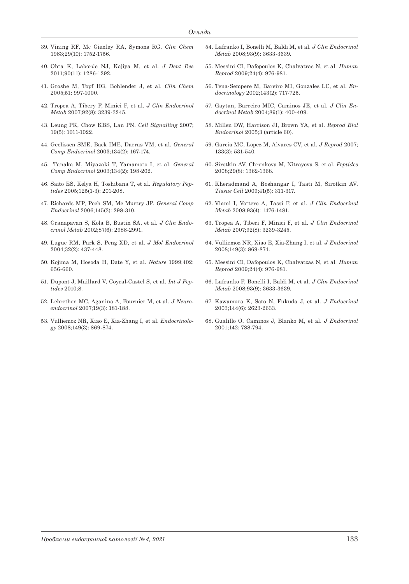- 39. Vining RF, Mc Gienley RA, Symons RG. *Clin Chem* 1983;29(10): 1752-1756.
- 40. Ohta K, Laborde NJ, Kajiya M, et al. *J Dent Res*  2011;90(11): 1286-1292.
- 41. Groshe M, Topf HG, Bohlender J, et al. *Clin Chem* 2005;51: 997-1000.
- 42. Tropea A, Tibery F, Minici F, et al. *J Clin Endocrinol Metab* 2007;92(8): 3239-3245.
- 43. Leung PK, Chow KBS, Lan PN. *Cell Signalling* 2007; 19(5): 1011-1022.
- 44. Geelissen SME, Back IME, Darras VM, et al. *General Comp Endocrinol* 2003;134(2): 167-174.
- 45. Tanaka M, Miyazaki T, Yamamoto I, et al. *General Comp Endocrinol* 2003;134(2): 198-202.
- 46. Saito ES, Kelya H, Toshibana T, et al. *Regulatory Peptides* 2005;125(1-3): 201-208.
- 47. Richards MP, Poch SM, Mc Murtry JP. *General Comp Endocrinol* 2006;145(3): 298-310.
- 48. Granapavan S, Kola B, Bustin SA, et al. *J Clin Endocrinol Metab* 2002;87(6): 2988-2991.
- 49. Lugue RM, Park S, Peng XD, et al. *J Mol Endocrinol* 2004;32(2): 437-448.
- 50. Kojima M, Hosoda H, Date Y, et al. *Nature* 1999;402: 656-660.
- 51. Dupont J, Maillard V, Coyral-Castel S, et al. *Int J Peptides* 2010;8.
- 52. Lebrethon MC, Aganina A, Fournier M, et al. *J Neuroendocrinol* 2007;19(3): 181-188.
- 53. Vulliemoz NR, Xiao E, Xia-Zhang I, et al. *Endocrinology* 2008;149(3): 869-874.
- 54. Lafranko I, Bonelli M, Baldi M, et al. *J Clin Endocrinol Metab* 2008;93(9): 3633-3639.
- 55. Messini CI, Dafopoulos K, Chalvatras N, et al. *Human Reprod* 2009;24(4): 976-981.
- 56. Tena-Sempere M, Bareiro MI, Gonzales LC, et al. *Endocrinology* 2002;143(2): 717-725.
- 57. Gaytan, Barreiro MIC, Caminos JE, et al. *J Clin Endocrinol Metab* 2004;89(1): 400-409.
- 58. Millen DW, Harrison JI, Brown YA, et al. *Reprod Biol Endocrinol* 2005;3 (article 60).
- 59. Garcia MC, Lopez M, Alvares CV, et al. *J Reprod* 2007; 133(3): 531-540.
- 60. Sirotkin AV, Chrenkova M, Nitrayova S, et al. *Peptides* 2008;29(8): 1362-1368.
- 61. Kheradmand A, Roshangar I, Taati M, Sirotkin AV. *Tissue Cell* 2009;41(5): 311-317.
- 62. Viami I, Vottero A, Tassi F, et al. *J Clin Endocrinol Metab* 2008;93(4): 1476-1481.
- 63. Tropea A, Tiberi F, Minici F, et al. *J Clin Endocrinol Metab* 2007;92(8): 3239-3245.
- 64. Vulliemoz NR, Xiao E, Xia-Zhang I, et al. *J Endocrinol* 2008;149(3): 869-874.
- 65. Messini CI, Dafopoulos K, Chalvatzas N, et al. *Human Reprod* 2009;24(4): 976-981.
- 66. Lafranko F, Bonelli I, Baldi M, et al. *J Clin Endocrinol Metab* 2008;93(9): 3633-3639.
- 67. Kawamura K, Sato N, Fukuda J, et al. *J Endocrinol* 2003;144(6): 2623-2633.
- 68. Gualillo O, Caminos J, Blanko M, et al. *J Endocrinol* 2001;142: 788-794.